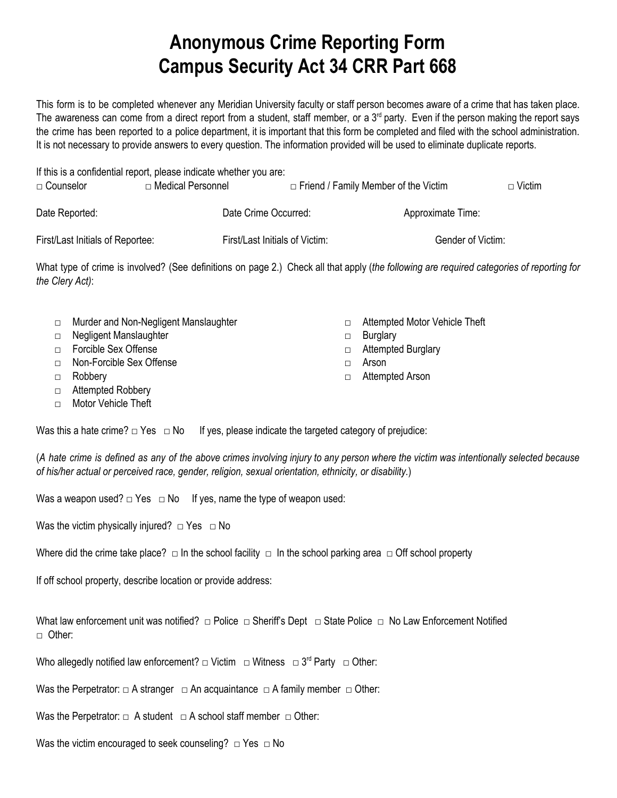## **Anonymous Crime Reporting Form Campus Security Act 34 CRR Part 668**

This form is to be completed whenever any Meridian University faculty or staff person becomes aware of a crime that has taken place. The awareness can come from a direct report from a student, staff member, or a  $3<sup>rd</sup>$  party. Even if the person making the report says the crime has been reported to a police department, it is important that this form be completed and filed with the school administration. It is not necessary to provide answers to every question. The information provided will be used to eliminate duplicate reports.

| $\Box$ Counselor                 | If this is a confidential report, please indicate whether you are:<br>□ Medical Personnel |                                | $\Box$ Friend / Family Member of the Victim | $\Box$ Victim |
|----------------------------------|-------------------------------------------------------------------------------------------|--------------------------------|---------------------------------------------|---------------|
| Date Reported:                   | Date Crime Occurred:                                                                      |                                | Approximate Time:                           |               |
| First/Last Initials of Reportee: |                                                                                           | First/Last Initials of Victim: | Gender of Victim:                           |               |

What type of crime is involved? (See definitions on page 2.) Check all that apply (*the following are required categories of reporting for the Clery Act)*:

| $\Box$ | Murder and Non-Negligent Manslaughter | Attempted Motor Vehicle Theft |
|--------|---------------------------------------|-------------------------------|
|        | □ Negligent Manslaughter              | $\Box$ Burglary               |
|        | □ Forcible Sex Offense                | □ Attempted Burglary          |
|        | □ Non-Forcible Sex Offense            | Arson                         |
| $\Box$ | Robbery                               | Attempted Arson               |

□ Attempted Robbery

□ Motor Vehicle Theft

Was this a hate crime?  $\Box$  Yes  $\Box$  No If yes, please indicate the targeted category of prejudice:

(A hate crime is defined as any of the above crimes involving injury to any person where the victim was intentionally selected because *of his/her actual or perceived race, gender, religion, sexual orientation, ethnicity, or disability.*)

Was a weapon used?  $\Box$  Yes  $\Box$  No If yes, name the type of weapon used:

Was the victim physically injured?  $\Box$  Yes  $\Box$  No

Where did the crime take place?  $\Box$  In the school facility  $\Box$  In the school parking area  $\Box$  Off school property

If off school property, describe location or provide address:

What law enforcement unit was notified? □ Police □ Sheriff's Dept □ State Police □ No Law Enforcement Notified □ Other:

Who allegedly notified law enforcement?  $\Box$  Victim  $\Box$  Witness  $\Box$  3<sup>rd</sup> Party  $\Box$  Other:

Was the Perpetrator:  $\Box$  A stranger  $\Box$  An acquaintance  $\Box$  A family member  $\Box$  Other:

Was the Perpetrator:  $\Box$  A student  $\Box$  A school staff member  $\Box$  Other:

Was the victim encouraged to seek counseling?  $\Box$  Yes  $\Box$  No